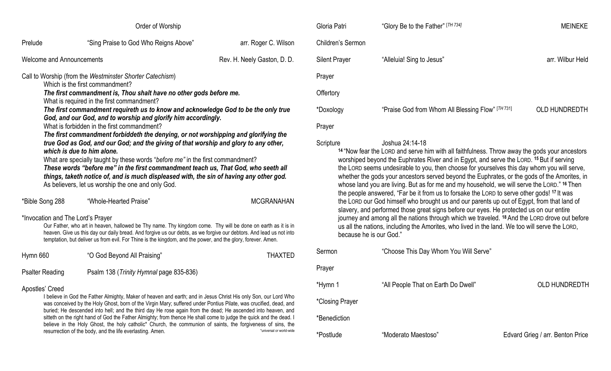| Order of Worship                                                                                                                                                                                                                                                                                                                                                                                                                                                                                                                                                                                                                                                                                                                                                                                                                                                                                                                                            |                                                                                                                                                                                                                                                                                                                                                                                                                                                                                                                                                                                                                                                       |                             |  |  |
|-------------------------------------------------------------------------------------------------------------------------------------------------------------------------------------------------------------------------------------------------------------------------------------------------------------------------------------------------------------------------------------------------------------------------------------------------------------------------------------------------------------------------------------------------------------------------------------------------------------------------------------------------------------------------------------------------------------------------------------------------------------------------------------------------------------------------------------------------------------------------------------------------------------------------------------------------------------|-------------------------------------------------------------------------------------------------------------------------------------------------------------------------------------------------------------------------------------------------------------------------------------------------------------------------------------------------------------------------------------------------------------------------------------------------------------------------------------------------------------------------------------------------------------------------------------------------------------------------------------------------------|-----------------------------|--|--|
| Prelude                                                                                                                                                                                                                                                                                                                                                                                                                                                                                                                                                                                                                                                                                                                                                                                                                                                                                                                                                     | "Sing Praise to God Who Reigns Above"                                                                                                                                                                                                                                                                                                                                                                                                                                                                                                                                                                                                                 | arr. Roger C. Wilson        |  |  |
| <b>Welcome and Announcements</b>                                                                                                                                                                                                                                                                                                                                                                                                                                                                                                                                                                                                                                                                                                                                                                                                                                                                                                                            |                                                                                                                                                                                                                                                                                                                                                                                                                                                                                                                                                                                                                                                       | Rev. H. Neely Gaston, D. D. |  |  |
| Call to Worship (from the Westminster Shorter Catechism)<br>Which is the first commandment?<br>The first commandment is, Thou shalt have no other gods before me.<br>What is required in the first commandment?<br>The first commandment requireth us to know and acknowledge God to be the only true<br>God, and our God, and to worship and glorify him accordingly.<br>What is forbidden in the first commandment?<br>The first commandment forbiddeth the denying, or not worshipping and glorifying the<br>true God as God, and our God; and the giving of that worship and glory to any other,<br>which is due to him alone.<br>What are specially taught by these words "before me" in the first commandment?<br>These words "before me" in the first commandment teach us, That God, who seeth all<br>things, taketh notice of, and is much displeased with, the sin of having any other god.<br>As believers, let us worship the one and only God. |                                                                                                                                                                                                                                                                                                                                                                                                                                                                                                                                                                                                                                                       |                             |  |  |
| *Bible Song 288                                                                                                                                                                                                                                                                                                                                                                                                                                                                                                                                                                                                                                                                                                                                                                                                                                                                                                                                             | "Whole-Hearted Praise"                                                                                                                                                                                                                                                                                                                                                                                                                                                                                                                                                                                                                                | <b>MCGRANAHAN</b>           |  |  |
| *Invocation and The Lord's Prayer<br>Our Father, who art in heaven, hallowed be Thy name. Thy kingdom come. Thy will be done on earth as it is in<br>heaven. Give us this day our daily bread. And forgive us our debts, as we forgive our debtors. And lead us not into<br>temptation, but deliver us from evil. For Thine is the kingdom, and the power, and the glory, forever. Amen.                                                                                                                                                                                                                                                                                                                                                                                                                                                                                                                                                                    |                                                                                                                                                                                                                                                                                                                                                                                                                                                                                                                                                                                                                                                       |                             |  |  |
| Hymn 660                                                                                                                                                                                                                                                                                                                                                                                                                                                                                                                                                                                                                                                                                                                                                                                                                                                                                                                                                    | "O God Beyond All Praising"                                                                                                                                                                                                                                                                                                                                                                                                                                                                                                                                                                                                                           | <b>THAXTED</b>              |  |  |
| <b>Psalter Reading</b>                                                                                                                                                                                                                                                                                                                                                                                                                                                                                                                                                                                                                                                                                                                                                                                                                                                                                                                                      | Psalm 138 (Trinity Hymnal page 835-836)                                                                                                                                                                                                                                                                                                                                                                                                                                                                                                                                                                                                               |                             |  |  |
| Apostles' Creed                                                                                                                                                                                                                                                                                                                                                                                                                                                                                                                                                                                                                                                                                                                                                                                                                                                                                                                                             | I believe in God the Father Almighty, Maker of heaven and earth; and in Jesus Christ His only Son, our Lord Who<br>was conceived by the Holy Ghost, born of the Virgin Mary; suffered under Pontius Pilate, was crucified, dead, and<br>buried; He descended into hell; and the third day He rose again from the dead; He ascended into heaven, and<br>sitteth on the right hand of God the Father Almighty; from thence He shall come to judge the quick and the dead. I<br>believe in the Holy Ghost, the holy catholic* Church, the communion of saints, the forgiveness of sins, the<br>resurrection of the body, and the life everlasting. Amen. | *universal or world-wide    |  |  |

| Gloria Patri                                                                                                                                                                                                                                                                                                                                                                                                                                                                                                                                                                                                                    | "Glory Be to the Father" [TH 734]                 | <b>MEINEKE</b>       |  |  |
|---------------------------------------------------------------------------------------------------------------------------------------------------------------------------------------------------------------------------------------------------------------------------------------------------------------------------------------------------------------------------------------------------------------------------------------------------------------------------------------------------------------------------------------------------------------------------------------------------------------------------------|---------------------------------------------------|----------------------|--|--|
| Children's Sermon                                                                                                                                                                                                                                                                                                                                                                                                                                                                                                                                                                                                               |                                                   |                      |  |  |
| <b>Silent Prayer</b>                                                                                                                                                                                                                                                                                                                                                                                                                                                                                                                                                                                                            | "Alleluia! Sing to Jesus"                         | arr. Wilbur Held     |  |  |
| Prayer                                                                                                                                                                                                                                                                                                                                                                                                                                                                                                                                                                                                                          |                                                   |                      |  |  |
| Offertory                                                                                                                                                                                                                                                                                                                                                                                                                                                                                                                                                                                                                       |                                                   |                      |  |  |
| *Doxology                                                                                                                                                                                                                                                                                                                                                                                                                                                                                                                                                                                                                       | "Praise God from Whom All Blessing Flow" [TH 731] | <b>OLD HUNDREDTH</b> |  |  |
| Prayer                                                                                                                                                                                                                                                                                                                                                                                                                                                                                                                                                                                                                          |                                                   |                      |  |  |
| Joshua 24:14-18<br>Scripture<br><sup>14</sup> "Now fear the LORD and serve him with all faithfulness. Throw away the gods your ancestors<br>worshiped beyond the Euphrates River and in Egypt, and serve the LORD. 15 But if serving<br>the LORD seems undesirable to you, then choose for yourselves this day whom you will serve,<br>whether the gods your ancestors served beyond the Euphrates, or the gods of the Amorites, in<br>whose land you are living. But as for me and my household, we will serve the LORD." 16 Then<br>the neede crowered. "Fer he it from us to fereal e the Lopp to convention godal 17 It was |                                                   |                      |  |  |

the people answered, "Far be it from us to forsake the LORD to serve other gods! **<sup>17</sup>** It was the LORD our God himself who brought us and our parents up out of Egypt, from that land of slavery, and performed those great signs before our eyes. He protected us on our entire journey and among all the nations through which we traveled. **<sup>18</sup>** And the LORD drove out before us all the nations, including the Amorites, who lived in the land. We too will serve the LORD, because he is our God."

| Sermon          | "Choose This Day Whom You Will Serve" |                                  |
|-----------------|---------------------------------------|----------------------------------|
| Prayer          |                                       |                                  |
| *Hymn 1         | "All People That on Earth Do Dwell"   | <b>OLD HUNDREDTH</b>             |
| *Closing Prayer |                                       |                                  |
| *Benediction    |                                       |                                  |
| *Postlude       | "Moderato Maestoso"                   | Edvard Grieg / arr. Benton Price |